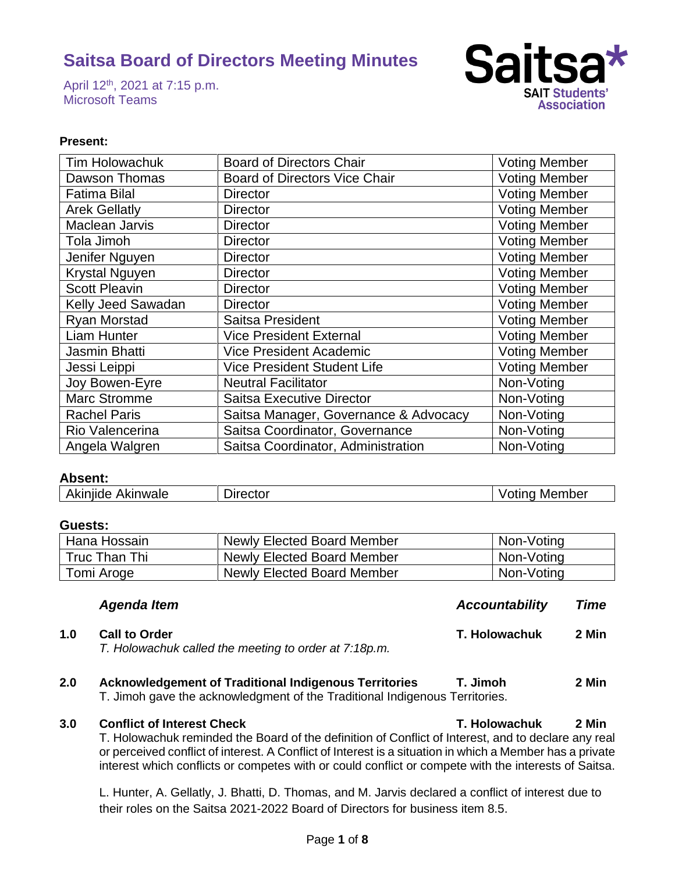April 12<sup>th</sup>, 2021 at 7:15 p.m. Microsoft Teams



## **Present:**

| <b>Tim Holowachuk</b> | <b>Board of Directors Chair</b>       | <b>Voting Member</b> |
|-----------------------|---------------------------------------|----------------------|
| Dawson Thomas         | <b>Board of Directors Vice Chair</b>  | <b>Voting Member</b> |
| <b>Fatima Bilal</b>   | <b>Director</b>                       | <b>Voting Member</b> |
| <b>Arek Gellatly</b>  | <b>Director</b>                       | <b>Voting Member</b> |
| Maclean Jarvis        | <b>Director</b>                       | <b>Voting Member</b> |
| Tola Jimoh            | <b>Director</b>                       | <b>Voting Member</b> |
| Jenifer Nguyen        | <b>Director</b>                       | <b>Voting Member</b> |
| <b>Krystal Nguyen</b> | <b>Director</b>                       | <b>Voting Member</b> |
| <b>Scott Pleavin</b>  | <b>Director</b>                       | <b>Voting Member</b> |
| Kelly Jeed Sawadan    | <b>Director</b>                       | <b>Voting Member</b> |
| <b>Ryan Morstad</b>   | Saitsa President                      | <b>Voting Member</b> |
| Liam Hunter           | <b>Vice President External</b>        | <b>Voting Member</b> |
| Jasmin Bhatti         | <b>Vice President Academic</b>        | <b>Voting Member</b> |
| Jessi Leippi          | <b>Vice President Student Life</b>    | <b>Voting Member</b> |
| Joy Bowen-Eyre        | <b>Neutral Facilitator</b>            | Non-Voting           |
| <b>Marc Stromme</b>   | <b>Saitsa Executive Director</b>      | Non-Voting           |
| <b>Rachel Paris</b>   | Saitsa Manager, Governance & Advocacy | Non-Voting           |
| Rio Valencerina       | Saitsa Coordinator, Governance        | Non-Voting           |
| Angela Walgren        | Saitsa Coordinator, Administration    | Non-Voting           |

# **Absent:**

| Akinjide<br>Akinwale | $D$ <i>rector</i> | <b>Voting Member</b> |
|----------------------|-------------------|----------------------|
|----------------------|-------------------|----------------------|

# **Guests:**

| Hana Hossain  | Newly Elected Board Member        | Non-Voting |
|---------------|-----------------------------------|------------|
| Truc Than Thi | Newly Elected Board Member        | Non-Voting |
| Tomi Aroge    | <b>Newly Elected Board Member</b> | Non-Voting |

|     | Agenda Item                                                                   | <b>Accountability</b> | Time  |
|-----|-------------------------------------------------------------------------------|-----------------------|-------|
| 1.0 | <b>Call to Order</b><br>T. Holowachuk called the meeting to order at 7:18p.m. | T. Holowachuk         | 2 Min |

**2.0 Acknowledgement of Traditional Indigenous Territories T. Jimoh 2 Min**  T. Jimoh gave the acknowledgment of the Traditional Indigenous Territories.

#### **3.0 Conflict of Interest Check T. Holowachuk 2 Min**

T. Holowachuk reminded the Board of the definition of Conflict of Interest, and to declare any real or perceived conflict of interest. A Conflict of Interest is a situation in which a Member has a private interest which conflicts or competes with or could conflict or compete with the interests of Saitsa.

L. Hunter, A. Gellatly, J. Bhatti, D. Thomas, and M. Jarvis declared a conflict of interest due to their roles on the Saitsa 2021-2022 Board of Directors for business item 8.5.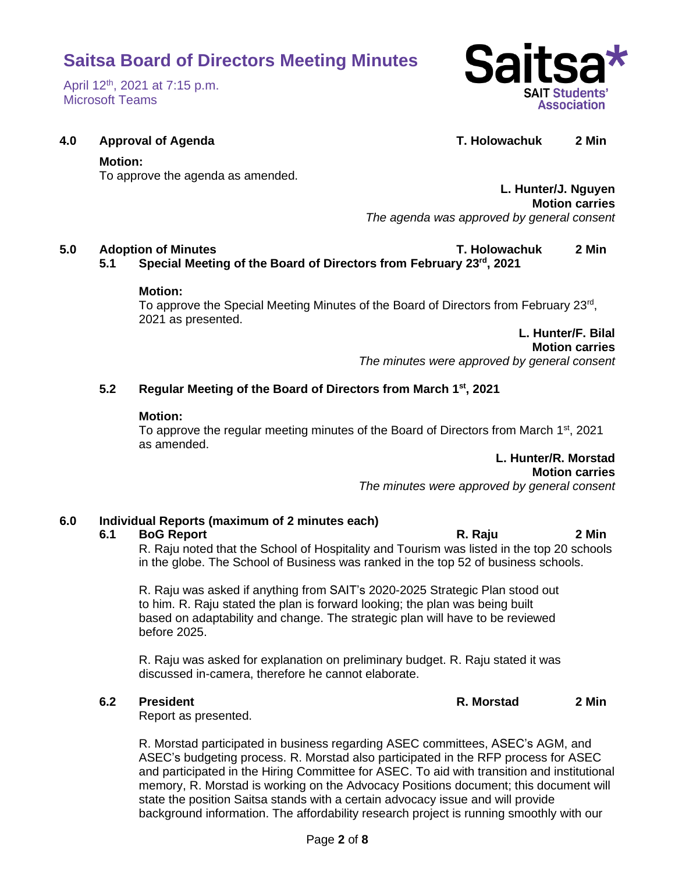### April 12<sup>th</sup>, 2021 at 7:15 p.m. Microsoft Teams



### **4.0 Approval of Agenda T. Holowachuk 2 Min**

#### **Motion:**

To approve the agenda as amended.

**L. Hunter/J. Nguyen Motion carries** *The agenda was approved by general consent*

## **5.0 Adoption of Minutes T. Holowachuk 2 Min**

**5.1 Special Meeting of the Board of Directors from February 23rd, 2021**

#### **Motion:**

To approve the Special Meeting Minutes of the Board of Directors from February 23<sup>rd</sup>, 2021 as presented.

> **L. Hunter/F. Bilal Motion carries**

*The minutes were approved by general consent*

## **5.2 Regular Meeting of the Board of Directors from March 1 st, 2021**

#### **Motion:**

To approve the regular meeting minutes of the Board of Directors from March  $1<sup>st</sup>$ , 2021 as amended.

**L. Hunter/R. Morstad**

**Motion carries**

*The minutes were approved by general consent*

## **6.0 Individual Reports (maximum of 2 minutes each)**

### **6.1 BoG Report R. Raju 2 Min**

R. Raju noted that the School of Hospitality and Tourism was listed in the top 20 schools in the globe. The School of Business was ranked in the top 52 of business schools.

R. Raju was asked if anything from SAIT's 2020-2025 Strategic Plan stood out to him. R. Raju stated the plan is forward looking; the plan was being built based on adaptability and change. The strategic plan will have to be reviewed before 2025.

R. Raju was asked for explanation on preliminary budget. R. Raju stated it was discussed in-camera, therefore he cannot elaborate.

**6.2 President R. Morstad 2 Min**

Report as presented.

R. Morstad participated in business regarding ASEC committees, ASEC's AGM, and ASEC's budgeting process. R. Morstad also participated in the RFP process for ASEC and participated in the Hiring Committee for ASEC. To aid with transition and institutional memory, R. Morstad is working on the Advocacy Positions document; this document will state the position Saitsa stands with a certain advocacy issue and will provide background information. The affordability research project is running smoothly with our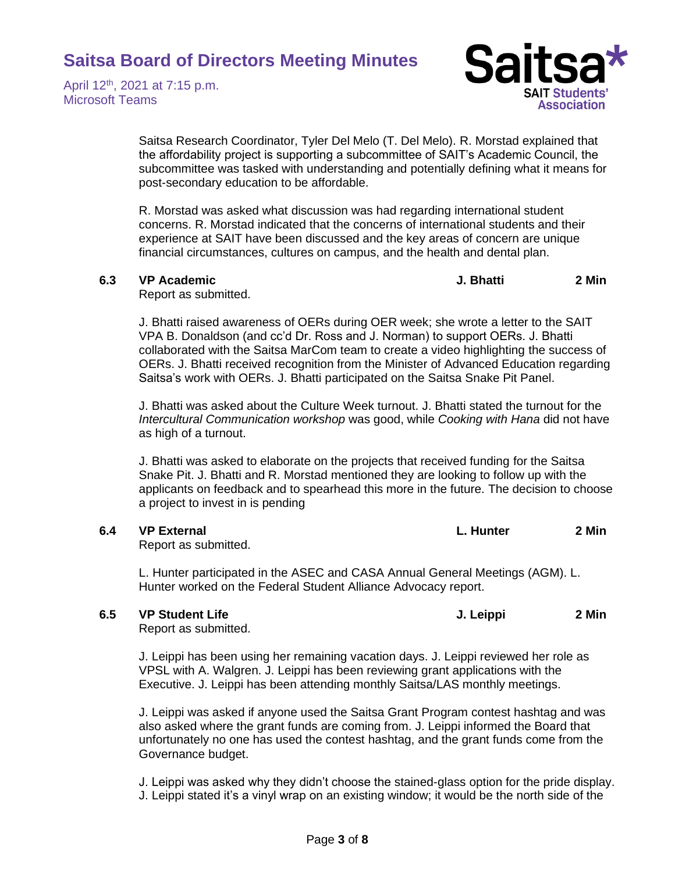April 12<sup>th</sup>, 2021 at 7:15 p.m. Microsoft Teams



Saitsa Research Coordinator, Tyler Del Melo (T. Del Melo). R. Morstad explained that the affordability project is supporting a subcommittee of SAIT's Academic Council, the subcommittee was tasked with understanding and potentially defining what it means for post-secondary education to be affordable.

R. Morstad was asked what discussion was had regarding international student concerns. R. Morstad indicated that the concerns of international students and their experience at SAIT have been discussed and the key areas of concern are unique financial circumstances, cultures on campus, and the health and dental plan.

**6.3 VP Academic J. Bhatti 2 Min**

Report as submitted.

J. Bhatti raised awareness of OERs during OER week; she wrote a letter to the SAIT VPA B. Donaldson (and cc'd Dr. Ross and J. Norman) to support OERs. J. Bhatti collaborated with the Saitsa MarCom team to create a video highlighting the success of OERs. J. Bhatti received recognition from the Minister of Advanced Education regarding Saitsa's work with OERs. J. Bhatti participated on the Saitsa Snake Pit Panel.

J. Bhatti was asked about the Culture Week turnout. J. Bhatti stated the turnout for the *Intercultural Communication workshop* was good, while *Cooking with Hana* did not have as high of a turnout.

J. Bhatti was asked to elaborate on the projects that received funding for the Saitsa Snake Pit. J. Bhatti and R. Morstad mentioned they are looking to follow up with the applicants on feedback and to spearhead this more in the future. The decision to choose a project to invest in is pending

**6.4 VP External L. Hunter 2 Min**

Report as submitted.

L. Hunter participated in the ASEC and CASA Annual General Meetings (AGM). L. Hunter worked on the Federal Student Alliance Advocacy report.

### **6.5 VP Student Life J. Leippi 2 Min**

Report as submitted.

J. Leippi has been using her remaining vacation days. J. Leippi reviewed her role as VPSL with A. Walgren. J. Leippi has been reviewing grant applications with the Executive. J. Leippi has been attending monthly Saitsa/LAS monthly meetings.

J. Leippi was asked if anyone used the Saitsa Grant Program contest hashtag and was also asked where the grant funds are coming from. J. Leippi informed the Board that unfortunately no one has used the contest hashtag, and the grant funds come from the Governance budget.

J. Leippi was asked why they didn't choose the stained-glass option for the pride display. J. Leippi stated it's a vinyl wrap on an existing window; it would be the north side of the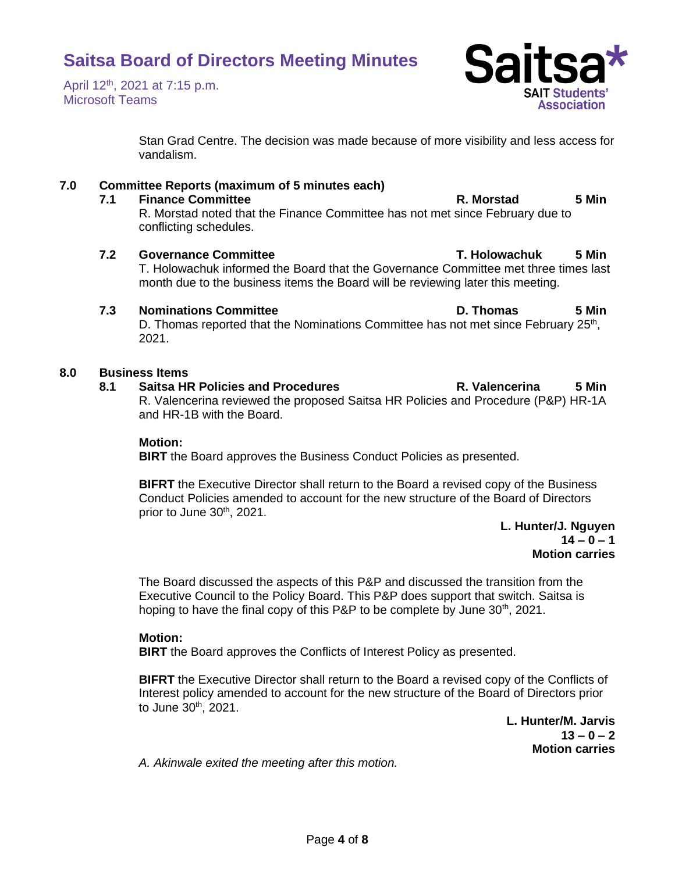April 12<sup>th</sup>, 2021 at 7:15 p.m. Microsoft Teams

> Stan Grad Centre. The decision was made because of more visibility and less access for vandalism.

# **7.0 Committee Reports (maximum of 5 minutes each)**

# **7.1 Finance Committee R. Morstad 5 Min**

R. Morstad noted that the Finance Committee has not met since February due to conflicting schedules.

# **7.2 Governance Committee T. Holowachuk 5 Min**

T. Holowachuk informed the Board that the Governance Committee met three times last month due to the business items the Board will be reviewing later this meeting.

# **7.3 Nominations Committee D. Thomas 5 Min**

D. Thomas reported that the Nominations Committee has not met since February 25<sup>th</sup>, 2021.

# **8.0 Business Items**

**8.1 Saitsa HR Policies and Procedures R. Valencerina 5 Min** R. Valencerina reviewed the proposed Saitsa HR Policies and Procedure (P&P) HR-1A and HR-1B with the Board.

# **Motion:**

**BIRT** the Board approves the Business Conduct Policies as presented.

**BIFRT** the Executive Director shall return to the Board a revised copy of the Business Conduct Policies amended to account for the new structure of the Board of Directors prior to June 30<sup>th</sup>, 2021.

**L. Hunter/J. Nguyen 14 – 0 – 1 Motion carries**

The Board discussed the aspects of this P&P and discussed the transition from the Executive Council to the Policy Board. This P&P does support that switch. Saitsa is hoping to have the final copy of this P&P to be complete by June 30<sup>th</sup>, 2021.

# **Motion:**

**BIRT** the Board approves the Conflicts of Interest Policy as presented.

**BIFRT** the Executive Director shall return to the Board a revised copy of the Conflicts of Interest policy amended to account for the new structure of the Board of Directors prior to June 30th, 2021.

> **L. Hunter/M. Jarvis 13 – 0 – 2 Motion carries**

*A. Akinwale exited the meeting after this motion.* 

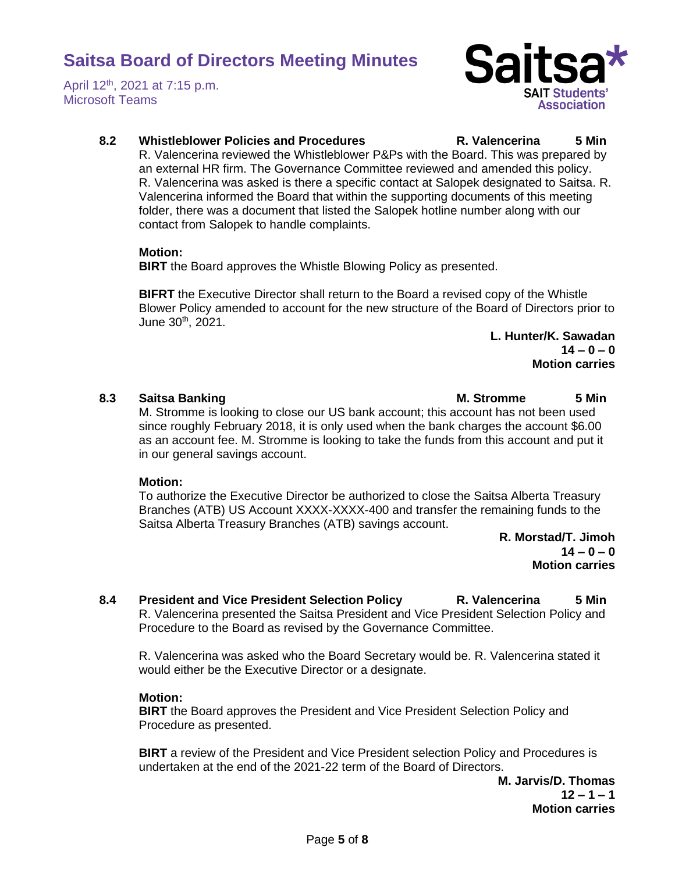April 12<sup>th</sup>, 2021 at 7:15 p.m. Microsoft Teams



# **8.2 Whistleblower Policies and Procedures R. Valencerina 5 Min**

R. Valencerina reviewed the Whistleblower P&Ps with the Board. This was prepared by an external HR firm. The Governance Committee reviewed and amended this policy. R. Valencerina was asked is there a specific contact at Salopek designated to Saitsa. R. Valencerina informed the Board that within the supporting documents of this meeting folder, there was a document that listed the Salopek hotline number along with our contact from Salopek to handle complaints.

### **Motion:**

**BIRT** the Board approves the Whistle Blowing Policy as presented.

**BIFRT** the Executive Director shall return to the Board a revised copy of the Whistle Blower Policy amended to account for the new structure of the Board of Directors prior to June  $30^{th}$ ,  $2021$ .

> **L. Hunter/K. Sawadan**  $14 - 0 - 0$ **Motion carries**

**8.3 Saitsa Banking M. Stromme 5 Min**

M. Stromme is looking to close our US bank account; this account has not been used since roughly February 2018, it is only used when the bank charges the account \$6.00 as an account fee. M. Stromme is looking to take the funds from this account and put it in our general savings account.

# **Motion:**

To authorize the Executive Director be authorized to close the Saitsa Alberta Treasury Branches (ATB) US Account XXXX-XXXX-400 and transfer the remaining funds to the Saitsa Alberta Treasury Branches (ATB) savings account.

> **R. Morstad/T. Jimoh 14 – 0 – 0 Motion carries**

**8.4 President and Vice President Selection Policy R. Valencerina 5 Min** R. Valencerina presented the Saitsa President and Vice President Selection Policy and Procedure to the Board as revised by the Governance Committee.

R. Valencerina was asked who the Board Secretary would be. R. Valencerina stated it would either be the Executive Director or a designate.

# **Motion:**

**BIRT** the Board approves the President and Vice President Selection Policy and Procedure as presented.

**BIRT** a review of the President and Vice President selection Policy and Procedures is undertaken at the end of the 2021-22 term of the Board of Directors.

**M. Jarvis/D. Thomas 12 – 1 – 1 Motion carries**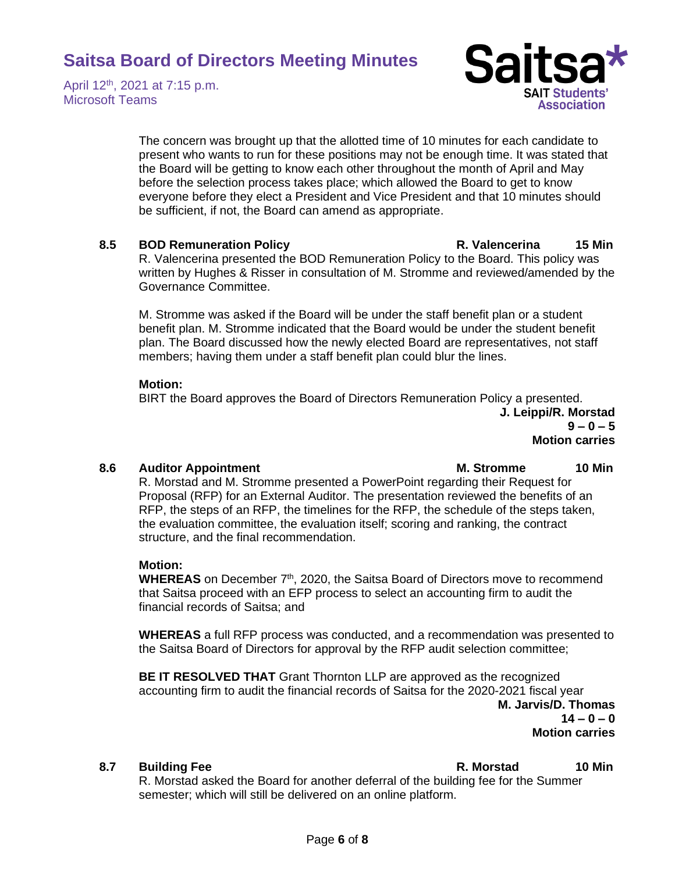April 12<sup>th</sup>, 2021 at 7:15 p.m. Microsoft Teams



The concern was brought up that the allotted time of 10 minutes for each candidate to present who wants to run for these positions may not be enough time. It was stated that the Board will be getting to know each other throughout the month of April and May before the selection process takes place; which allowed the Board to get to know everyone before they elect a President and Vice President and that 10 minutes should be sufficient, if not, the Board can amend as appropriate.

### **8.5 BOD Remuneration Policy R. Valencerina 15 Min**

R. Valencerina presented the BOD Remuneration Policy to the Board. This policy was written by Hughes & Risser in consultation of M. Stromme and reviewed/amended by the Governance Committee.

M. Stromme was asked if the Board will be under the staff benefit plan or a student benefit plan. M. Stromme indicated that the Board would be under the student benefit plan. The Board discussed how the newly elected Board are representatives, not staff members; having them under a staff benefit plan could blur the lines.

#### **Motion:**

BIRT the Board approves the Board of Directors Remuneration Policy a presented. **J. Leippi/R. Morstad 9 – 0 – 5** 

**Motion carries**

### **8.6 Auditor Appointment M. Stromme 10 Min**

R. Morstad and M. Stromme presented a PowerPoint regarding their Request for Proposal (RFP) for an External Auditor. The presentation reviewed the benefits of an RFP, the steps of an RFP, the timelines for the RFP, the schedule of the steps taken, the evaluation committee, the evaluation itself; scoring and ranking, the contract structure, and the final recommendation.

### **Motion:**

WHEREAS on December 7<sup>th</sup>, 2020, the Saitsa Board of Directors move to recommend that Saitsa proceed with an EFP process to select an accounting firm to audit the financial records of Saitsa; and

**WHEREAS** a full RFP process was conducted, and a recommendation was presented to the Saitsa Board of Directors for approval by the RFP audit selection committee;

**BE IT RESOLVED THAT** Grant Thornton LLP are approved as the recognized accounting firm to audit the financial records of Saitsa for the 2020-2021 fiscal year **M. Jarvis/D. Thomas 14 – 0 – 0 Motion carries**

**8.7 Building Fee R. Morstad 10 Min**

R. Morstad asked the Board for another deferral of the building fee for the Summer semester; which will still be delivered on an online platform.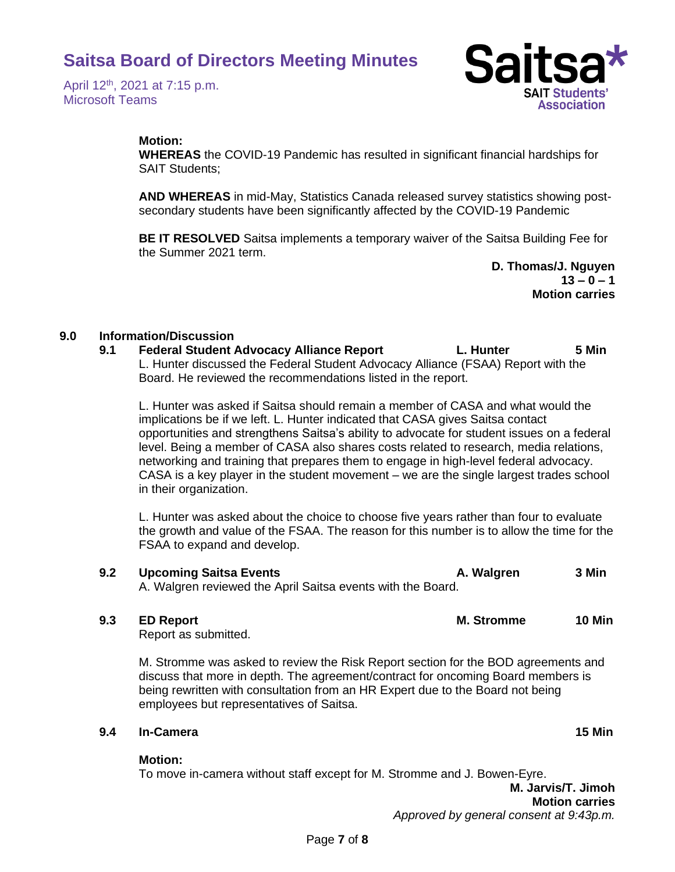April 12<sup>th</sup>, 2021 at 7:15 p.m. Microsoft Teams



## **Motion:**

**WHEREAS** the COVID-19 Pandemic has resulted in significant financial hardships for SAIT Students;

**AND WHEREAS** in mid-May, Statistics Canada released survey statistics showing postsecondary students have been significantly affected by the COVID-19 Pandemic

**BE IT RESOLVED** Saitsa implements a temporary waiver of the Saitsa Building Fee for the Summer 2021 term.

> **D. Thomas/J. Nguyen**   $13 - 0 - 1$ **Motion carries**

## **9.0 Information/Discussion**

## **9.1 Federal Student Advocacy Alliance Report L. Hunter 5 Min** L. Hunter discussed the Federal Student Advocacy Alliance (FSAA) Report with the Board. He reviewed the recommendations listed in the report.

L. Hunter was asked if Saitsa should remain a member of CASA and what would the implications be if we left. L. Hunter indicated that CASA gives Saitsa contact opportunities and strengthens Saitsa's ability to advocate for student issues on a federal level. Being a member of CASA also shares costs related to research, media relations, networking and training that prepares them to engage in high-level federal advocacy. CASA is a key player in the student movement – we are the single largest trades school in their organization.

L. Hunter was asked about the choice to choose five years rather than four to evaluate the growth and value of the FSAA. The reason for this number is to allow the time for the FSAA to expand and develop.

#### **9.2 Upcoming Saitsa Events A. Walgren 3 Min** A. Walgren reviewed the April Saitsa events with the Board.

**9.3 ED Report M. Stromme 10 Min**

Report as submitted.

M. Stromme was asked to review the Risk Report section for the BOD agreements and discuss that more in depth. The agreement/contract for oncoming Board members is being rewritten with consultation from an HR Expert due to the Board not being employees but representatives of Saitsa.

### **9.4 In-Camera 15 Min**

### **Motion:**

To move in-camera without staff except for M. Stromme and J. Bowen-Eyre.

**M. Jarvis/T. Jimoh Motion carries** *Approved by general consent at 9:43p.m.*